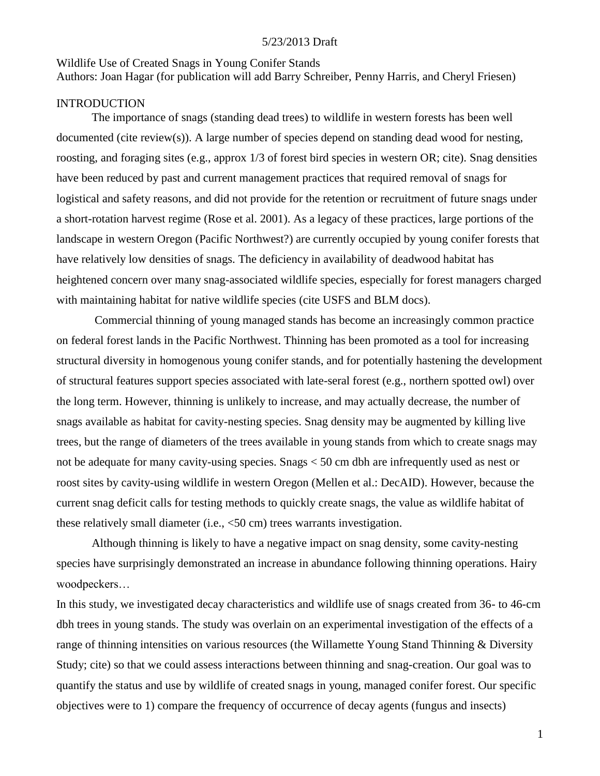#### Wildlife Use of Created Snags in Young Conifer Stands

Authors: Joan Hagar (for publication will add Barry Schreiber, Penny Harris, and Cheryl Friesen)

#### **INTRODUCTION**

The importance of snags (standing dead trees) to wildlife in western forests has been well documented (cite review(s)). A large number of species depend on standing dead wood for nesting, roosting, and foraging sites (e.g., approx 1/3 of forest bird species in western OR; cite). Snag densities have been reduced by past and current management practices that required removal of snags for logistical and safety reasons, and did not provide for the retention or recruitment of future snags under a short-rotation harvest regime (Rose et al. 2001). As a legacy of these practices, large portions of the landscape in western Oregon (Pacific Northwest?) are currently occupied by young conifer forests that have relatively low densities of snags. The deficiency in availability of deadwood habitat has heightened concern over many snag-associated wildlife species, especially for forest managers charged with maintaining habitat for native wildlife species (cite USFS and BLM docs).

Commercial thinning of young managed stands has become an increasingly common practice on federal forest lands in the Pacific Northwest. Thinning has been promoted as a tool for increasing structural diversity in homogenous young conifer stands, and for potentially hastening the development of structural features support species associated with late-seral forest (e.g., northern spotted owl) over the long term. However, thinning is unlikely to increase, and may actually decrease, the number of snags available as habitat for cavity-nesting species. Snag density may be augmented by killing live trees, but the range of diameters of the trees available in young stands from which to create snags may not be adequate for many cavity-using species. Snags < 50 cm dbh are infrequently used as nest or roost sites by cavity-using wildlife in western Oregon (Mellen et al.: DecAID). However, because the current snag deficit calls for testing methods to quickly create snags, the value as wildlife habitat of these relatively small diameter (i.e., <50 cm) trees warrants investigation.

Although thinning is likely to have a negative impact on snag density, some cavity-nesting species have surprisingly demonstrated an increase in abundance following thinning operations. Hairy woodpeckers…

In this study, we investigated decay characteristics and wildlife use of snags created from 36- to 46-cm dbh trees in young stands. The study was overlain on an experimental investigation of the effects of a range of thinning intensities on various resources (the Willamette Young Stand Thinning & Diversity Study; cite) so that we could assess interactions between thinning and snag-creation. Our goal was to quantify the status and use by wildlife of created snags in young, managed conifer forest. Our specific objectives were to 1) compare the frequency of occurrence of decay agents (fungus and insects)

1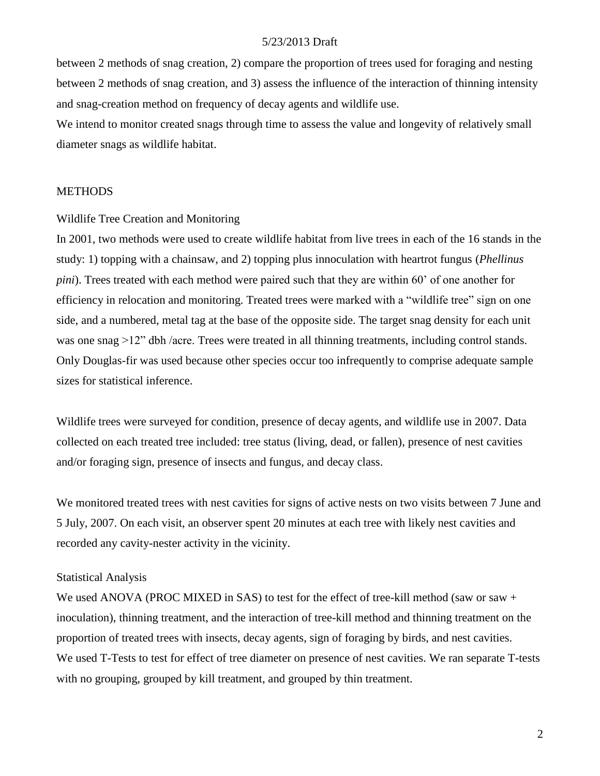between 2 methods of snag creation, 2) compare the proportion of trees used for foraging and nesting between 2 methods of snag creation, and 3) assess the influence of the interaction of thinning intensity and snag-creation method on frequency of decay agents and wildlife use.

We intend to monitor created snags through time to assess the value and longevity of relatively small diameter snags as wildlife habitat.

#### **METHODS**

Wildlife Tree Creation and Monitoring

In 2001, two methods were used to create wildlife habitat from live trees in each of the 16 stands in the study: 1) topping with a chainsaw, and 2) topping plus innoculation with heartrot fungus (*Phellinus pini*). Trees treated with each method were paired such that they are within 60' of one another for efficiency in relocation and monitoring. Treated trees were marked with a "wildlife tree" sign on one side, and a numbered, metal tag at the base of the opposite side. The target snag density for each unit was one snag >12" dbh /acre. Trees were treated in all thinning treatments, including control stands. Only Douglas-fir was used because other species occur too infrequently to comprise adequate sample sizes for statistical inference.

Wildlife trees were surveyed for condition, presence of decay agents, and wildlife use in 2007. Data collected on each treated tree included: tree status (living, dead, or fallen), presence of nest cavities and/or foraging sign, presence of insects and fungus, and decay class.

We monitored treated trees with nest cavities for signs of active nests on two visits between 7 June and 5 July, 2007. On each visit, an observer spent 20 minutes at each tree with likely nest cavities and recorded any cavity-nester activity in the vicinity.

#### Statistical Analysis

We used ANOVA (PROC MIXED in SAS) to test for the effect of tree-kill method (saw or saw + inoculation), thinning treatment, and the interaction of tree-kill method and thinning treatment on the proportion of treated trees with insects, decay agents, sign of foraging by birds, and nest cavities. We used T-Tests to test for effect of tree diameter on presence of nest cavities. We ran separate T-tests with no grouping, grouped by kill treatment, and grouped by thin treatment.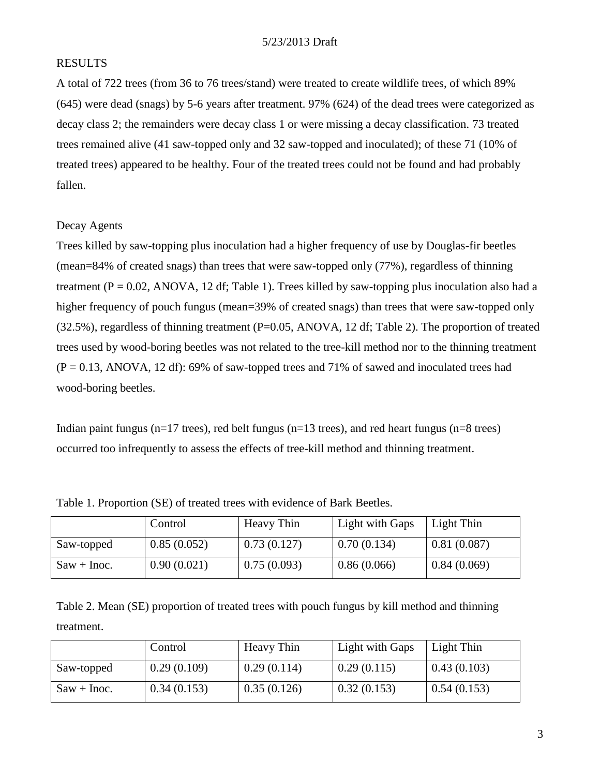## RESULTS

A total of 722 trees (from 36 to 76 trees/stand) were treated to create wildlife trees, of which 89% (645) were dead (snags) by 5-6 years after treatment. 97% (624) of the dead trees were categorized as decay class 2; the remainders were decay class 1 or were missing a decay classification. 73 treated trees remained alive (41 saw-topped only and 32 saw-topped and inoculated); of these 71 (10% of treated trees) appeared to be healthy. Four of the treated trees could not be found and had probably fallen.

## Decay Agents

Trees killed by saw-topping plus inoculation had a higher frequency of use by Douglas-fir beetles (mean=84% of created snags) than trees that were saw-topped only (77%), regardless of thinning treatment ( $P = 0.02$ , ANOVA, 12 df; Table 1). Trees killed by saw-topping plus inoculation also had a higher frequency of pouch fungus (mean=39% of created snags) than trees that were saw-topped only (32.5%), regardless of thinning treatment (P=0.05, ANOVA, 12 df; Table 2). The proportion of treated trees used by wood-boring beetles was not related to the tree-kill method nor to the thinning treatment  $(P = 0.13, ANOVA, 12 df)$ : 69% of saw-topped trees and 71% of sawed and inoculated trees had wood-boring beetles.

Indian paint fungus (n=17 trees), red belt fungus (n=13 trees), and red heart fungus (n=8 trees) occurred too infrequently to assess the effects of tree-kill method and thinning treatment.

|               | Control     | Heavy Thin  | Light with Gaps | Light Thin  |
|---------------|-------------|-------------|-----------------|-------------|
| Saw-topped    | 0.85(0.052) | 0.73(0.127) | 0.70(0.134)     | 0.81(0.087) |
| $Saw + Inoc.$ | 0.90(0.021) | 0.75(0.093) | 0.86(0.066)     | 0.84(0.069) |

Table 1. Proportion (SE) of treated trees with evidence of Bark Beetles.

Table 2. Mean (SE) proportion of treated trees with pouch fungus by kill method and thinning treatment.

|               | Control     | Heavy Thin  | Light with Gaps | Light Thin  |
|---------------|-------------|-------------|-----------------|-------------|
| Saw-topped    | 0.29(0.109) | 0.29(0.114) | 0.29(0.115)     | 0.43(0.103) |
| $Saw + Inoc.$ | 0.34(0.153) | 0.35(0.126) | 0.32(0.153)     | 0.54(0.153) |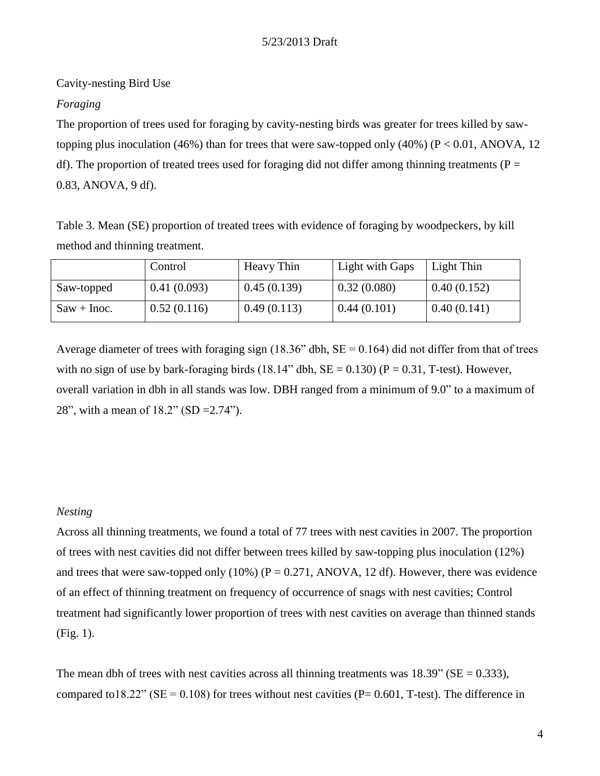Cavity-nesting Bird Use

## *Foraging*

The proportion of trees used for foraging by cavity-nesting birds was greater for trees killed by sawtopping plus inoculation (46%) than for trees that were saw-topped only (40%) (P < 0.01, ANOVA, 12 df). The proportion of treated trees used for foraging did not differ among thinning treatments ( $P =$ 0.83, ANOVA, 9 df).

Table 3. Mean (SE) proportion of treated trees with evidence of foraging by woodpeckers, by kill method and thinning treatment.

|               | Control     | Heavy Thin  | Light with Gaps | Light Thin  |
|---------------|-------------|-------------|-----------------|-------------|
| Saw-topped    | 0.41(0.093) | 0.45(0.139) | 0.32(0.080)     | 0.40(0.152) |
| $Saw + Inoc.$ | 0.52(0.116) | 0.49(0.113) | 0.44(0.101)     | 0.40(0.141) |

Average diameter of trees with foraging sign (18.36" dbh,  $SE = 0.164$ ) did not differ from that of trees with no sign of use by bark-foraging birds (18.14" dbh,  $SE = 0.130$ ) ( $P = 0.31$ , T-test). However, overall variation in dbh in all stands was low. DBH ranged from a minimum of 9.0" to a maximum of 28", with a mean of 18.2" (SD =2.74").

#### *Nesting*

Across all thinning treatments, we found a total of 77 trees with nest cavities in 2007. The proportion of trees with nest cavities did not differ between trees killed by saw-topping plus inoculation (12%) and trees that were saw-topped only  $(10\%)$  (P = 0.271, ANOVA, 12 df). However, there was evidence of an effect of thinning treatment on frequency of occurrence of snags with nest cavities; Control treatment had significantly lower proportion of trees with nest cavities on average than thinned stands (Fig. 1).

The mean dbh of trees with nest cavities across all thinning treatments was  $18.39$ " (SE = 0.333), compared to 18.22" ( $SE = 0.108$ ) for trees without nest cavities ( $P = 0.601$ , T-test). The difference in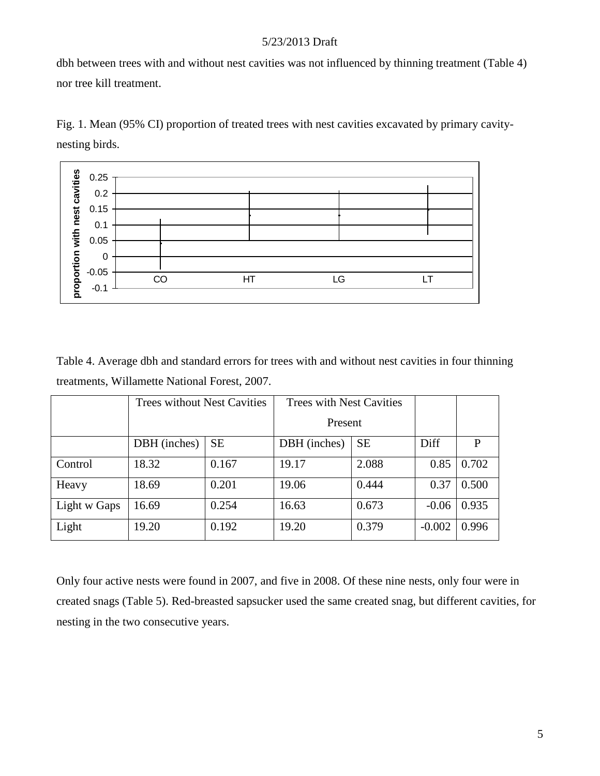dbh between trees with and without nest cavities was not influenced by thinning treatment (Table 4) nor tree kill treatment.





Table 4. Average dbh and standard errors for trees with and without nest cavities in four thinning treatments, Willamette National Forest, 2007.

|              | <b>Trees without Nest Cavities</b> |           | <b>Trees with Nest Cavities</b> |           |          |       |
|--------------|------------------------------------|-----------|---------------------------------|-----------|----------|-------|
|              |                                    |           | Present                         |           |          |       |
|              | DBH (inches)                       | <b>SE</b> | DBH (inches)                    | <b>SE</b> | Diff     | P     |
| Control      | 18.32                              | 0.167     | 19.17                           | 2.088     | 0.85     | 0.702 |
| Heavy        | 18.69                              | 0.201     | 19.06                           | 0.444     | 0.37     | 0.500 |
| Light w Gaps | 16.69                              | 0.254     | 16.63                           | 0.673     | $-0.06$  | 0.935 |
| Light        | 19.20                              | 0.192     | 19.20                           | 0.379     | $-0.002$ | 0.996 |

Only four active nests were found in 2007, and five in 2008. Of these nine nests, only four were in created snags (Table 5). Red-breasted sapsucker used the same created snag, but different cavities, for nesting in the two consecutive years.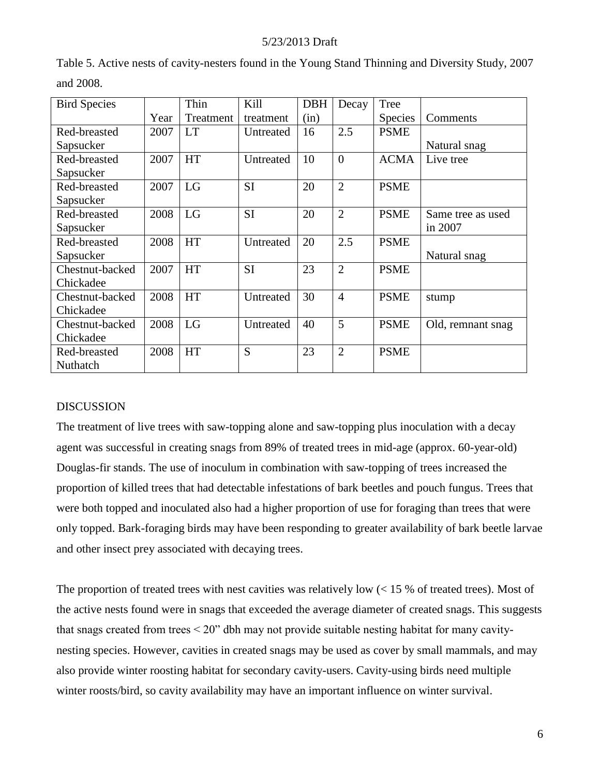| <b>Bird Species</b> |      | Thin      | Kill      | <b>DBH</b> | Decay          | Tree           |                   |
|---------------------|------|-----------|-----------|------------|----------------|----------------|-------------------|
|                     | Year | Treatment | treatment | (in)       |                | <b>Species</b> | Comments          |
| Red-breasted        | 2007 | <b>LT</b> | Untreated | 16         | 2.5            | <b>PSME</b>    |                   |
| Sapsucker           |      |           |           |            |                |                | Natural snag      |
| Red-breasted        | 2007 | <b>HT</b> | Untreated | 10         | $\overline{0}$ | <b>ACMA</b>    | Live tree         |
| Sapsucker           |      |           |           |            |                |                |                   |
| Red-breasted        | 2007 | LG        | <b>SI</b> | 20         | $\overline{2}$ | <b>PSME</b>    |                   |
| Sapsucker           |      |           |           |            |                |                |                   |
| Red-breasted        | 2008 | LG        | <b>SI</b> | 20         | $\overline{2}$ | <b>PSME</b>    | Same tree as used |
| Sapsucker           |      |           |           |            |                |                | in 2007           |
| Red-breasted        | 2008 | <b>HT</b> | Untreated | 20         | 2.5            | <b>PSME</b>    |                   |
| Sapsucker           |      |           |           |            |                |                | Natural snag      |
| Chestnut-backed     | 2007 | <b>HT</b> | <b>SI</b> | 23         | $\overline{2}$ | <b>PSME</b>    |                   |
| Chickadee           |      |           |           |            |                |                |                   |
| Chestnut-backed     | 2008 | <b>HT</b> | Untreated | 30         | $\overline{4}$ | <b>PSME</b>    | stump             |
| Chickadee           |      |           |           |            |                |                |                   |
| Chestnut-backed     | 2008 | LG        | Untreated | 40         | 5              | <b>PSME</b>    | Old, remnant snag |
| Chickadee           |      |           |           |            |                |                |                   |
| Red-breasted        | 2008 | <b>HT</b> | S         | 23         | $\overline{2}$ | <b>PSME</b>    |                   |
| Nuthatch            |      |           |           |            |                |                |                   |

Table 5. Active nests of cavity-nesters found in the Young Stand Thinning and Diversity Study, 2007 and 2008.

## DISCUSSION

The treatment of live trees with saw-topping alone and saw-topping plus inoculation with a decay agent was successful in creating snags from 89% of treated trees in mid-age (approx. 60-year-old) Douglas-fir stands. The use of inoculum in combination with saw-topping of trees increased the proportion of killed trees that had detectable infestations of bark beetles and pouch fungus. Trees that were both topped and inoculated also had a higher proportion of use for foraging than trees that were only topped. Bark-foraging birds may have been responding to greater availability of bark beetle larvae and other insect prey associated with decaying trees.

The proportion of treated trees with nest cavities was relatively low  $\ll 15$  % of treated trees). Most of the active nests found were in snags that exceeded the average diameter of created snags. This suggests that snags created from trees < 20" dbh may not provide suitable nesting habitat for many cavitynesting species. However, cavities in created snags may be used as cover by small mammals, and may also provide winter roosting habitat for secondary cavity-users. Cavity-using birds need multiple winter roosts/bird, so cavity availability may have an important influence on winter survival.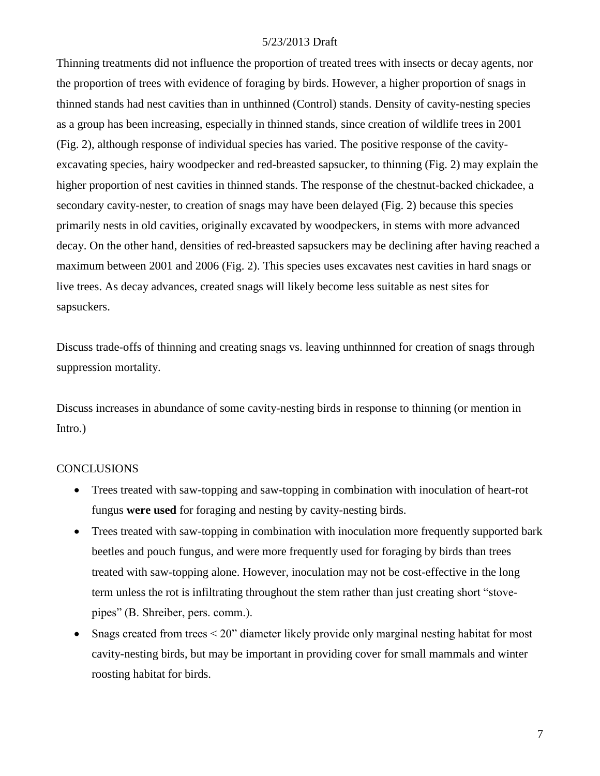Thinning treatments did not influence the proportion of treated trees with insects or decay agents, nor the proportion of trees with evidence of foraging by birds. However, a higher proportion of snags in thinned stands had nest cavities than in unthinned (Control) stands. Density of cavity-nesting species as a group has been increasing, especially in thinned stands, since creation of wildlife trees in 2001 (Fig. 2), although response of individual species has varied. The positive response of the cavityexcavating species, hairy woodpecker and red-breasted sapsucker, to thinning (Fig. 2) may explain the higher proportion of nest cavities in thinned stands. The response of the chestnut-backed chickadee, a secondary cavity-nester, to creation of snags may have been delayed (Fig. 2) because this species primarily nests in old cavities, originally excavated by woodpeckers, in stems with more advanced decay. On the other hand, densities of red-breasted sapsuckers may be declining after having reached a maximum between 2001 and 2006 (Fig. 2). This species uses excavates nest cavities in hard snags or live trees. As decay advances, created snags will likely become less suitable as nest sites for sapsuckers.

Discuss trade-offs of thinning and creating snags vs. leaving unthinnned for creation of snags through suppression mortality.

Discuss increases in abundance of some cavity-nesting birds in response to thinning (or mention in Intro.)

#### **CONCLUSIONS**

- Trees treated with saw-topping and saw-topping in combination with inoculation of heart-rot fungus **were used** for foraging and nesting by cavity-nesting birds.
- Trees treated with saw-topping in combination with inoculation more frequently supported bark beetles and pouch fungus, and were more frequently used for foraging by birds than trees treated with saw-topping alone. However, inoculation may not be cost-effective in the long term unless the rot is infiltrating throughout the stem rather than just creating short "stovepipes" (B. Shreiber, pers. comm.).
- Snags created from trees  $\leq 20$ " diameter likely provide only marginal nesting habitat for most cavity-nesting birds, but may be important in providing cover for small mammals and winter roosting habitat for birds.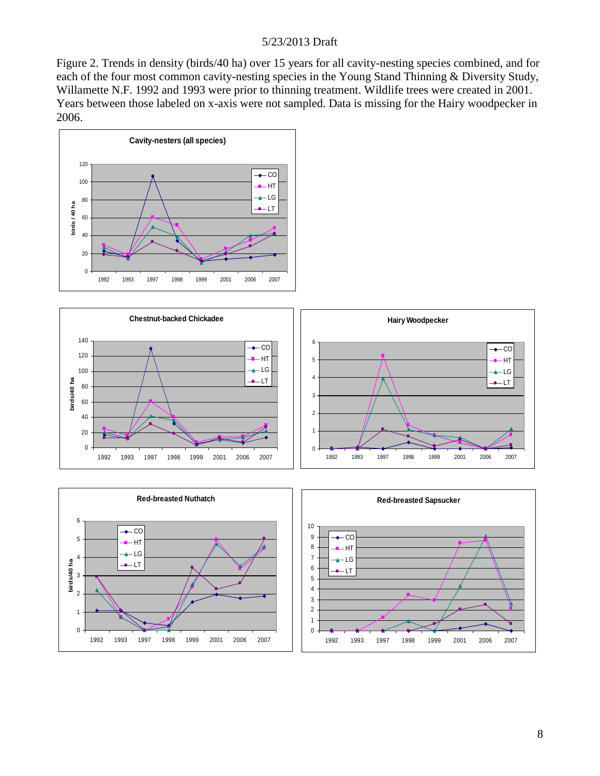Figure 2. Trends in density (birds/40 ha) over 15 years for all cavity-nesting species combined, and for each of the four most common cavity-nesting species in the Young Stand Thinning & Diversity Study, Willamette N.F. 1992 and 1993 were prior to thinning treatment. Wildlife trees were created in 2001. Years between those labeled on x-axis were not sampled. Data is missing for the Hairy woodpecker in 2006.







8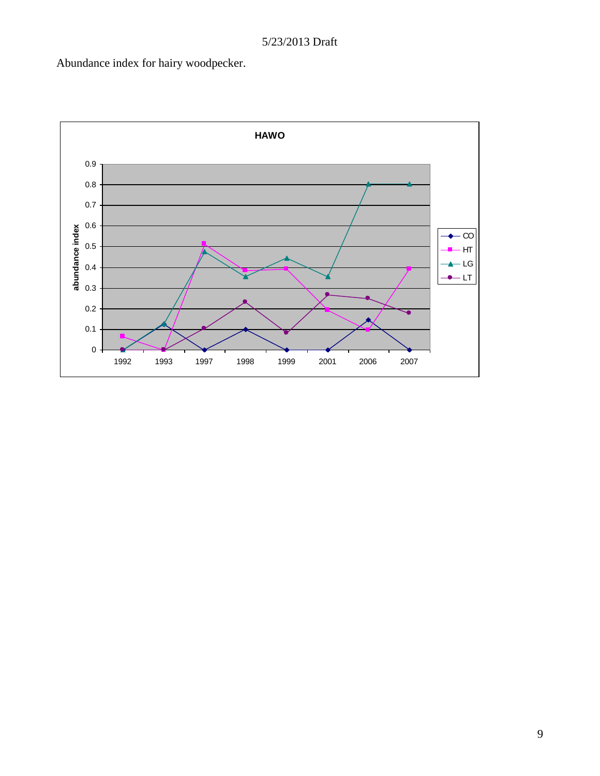Abundance index for hairy woodpecker.